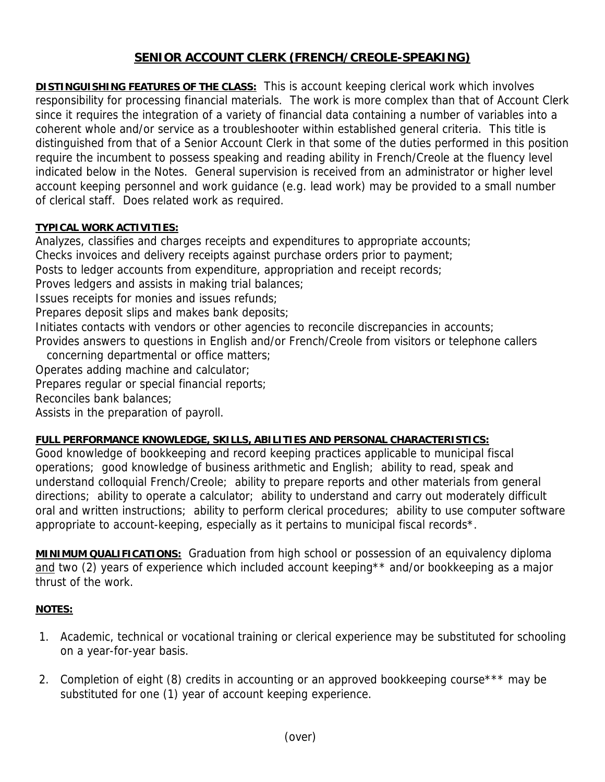## **SENIOR ACCOUNT CLERK (FRENCH/CREOLE-SPEAKING)**

**DISTINGUISHING FEATURES OF THE CLASS:** This is account keeping clerical work which involves responsibility for processing financial materials. The work is more complex than that of Account Clerk since it requires the integration of a variety of financial data containing a number of variables into a coherent whole and/or service as a troubleshooter within established general criteria. This title is distinguished from that of a Senior Account Clerk in that some of the duties performed in this position require the incumbent to possess speaking and reading ability in French/Creole at the fluency level indicated below in the Notes. General supervision is received from an administrator or higher level account keeping personnel and work guidance (e.g. lead work) may be provided to a small number of clerical staff. Does related work as required.

## **TYPICAL WORK ACTIVITIES:**

Analyzes, classifies and charges receipts and expenditures to appropriate accounts; Checks invoices and delivery receipts against purchase orders prior to payment; Posts to ledger accounts from expenditure, appropriation and receipt records; Proves ledgers and assists in making trial balances; Issues receipts for monies and issues refunds; Prepares deposit slips and makes bank deposits; Initiates contacts with vendors or other agencies to reconcile discrepancies in accounts; Provides answers to questions in English and/or French/Creole from visitors or telephone callers concerning departmental or office matters; Operates adding machine and calculator; Prepares regular or special financial reports; Reconciles bank balances; Assists in the preparation of payroll.

## **FULL PERFORMANCE KNOWLEDGE, SKILLS, ABILITIES AND PERSONAL CHARACTERISTICS:**

Good knowledge of bookkeeping and record keeping practices applicable to municipal fiscal operations; good knowledge of business arithmetic and English; ability to read, speak and understand colloquial French/Creole; ability to prepare reports and other materials from general directions; ability to operate a calculator; ability to understand and carry out moderately difficult oral and written instructions; ability to perform clerical procedures; ability to use computer software appropriate to account-keeping, especially as it pertains to municipal fiscal records\*.

**MINIMUM QUALIFICATIONS:** Graduation from high school or possession of an equivalency diploma and two (2) years of experience which included account keeping<sup>\*\*</sup> and/or bookkeeping as a major thrust of the work.

## **NOTES:**

- 1. Academic, technical or vocational training or clerical experience may be substituted for schooling on a year-for-year basis.
- 2. Completion of eight (8) credits in accounting or an approved bookkeeping course<sup>\*\*\*</sup> may be substituted for one (1) year of account keeping experience.